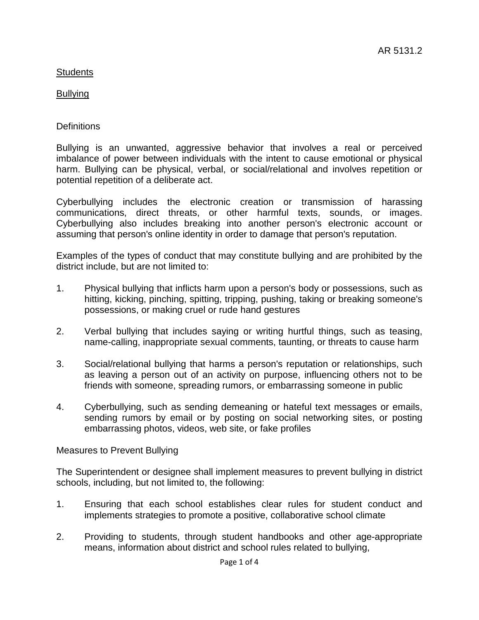## Bullying

## **Definitions**

Bullying is an unwanted, aggressive behavior that involves a real or perceived imbalance of power between individuals with the intent to cause emotional or physical harm. Bullying can be physical, verbal, or social/relational and involves repetition or potential repetition of a deliberate act.

Cyberbullying includes the electronic creation or transmission of harassing communications, direct threats, or other harmful texts, sounds, or images. Cyberbullying also includes breaking into another person's electronic account or assuming that person's online identity in order to damage that person's reputation.

Examples of the types of conduct that may constitute bullying and are prohibited by the district include, but are not limited to:

- 1. Physical bullying that inflicts harm upon a person's body or possessions, such as hitting, kicking, pinching, spitting, tripping, pushing, taking or breaking someone's possessions, or making cruel or rude hand gestures
- 2. Verbal bullying that includes saying or writing hurtful things, such as teasing, name-calling, inappropriate sexual comments, taunting, or threats to cause harm
- 3. Social/relational bullying that harms a person's reputation or relationships, such as leaving a person out of an activity on purpose, influencing others not to be friends with someone, spreading rumors, or embarrassing someone in public
- 4. Cyberbullying, such as sending demeaning or hateful text messages or emails, sending rumors by email or by posting on social networking sites, or posting embarrassing photos, videos, web site, or fake profiles

#### Measures to Prevent Bullying

The Superintendent or designee shall implement measures to prevent bullying in district schools, including, but not limited to, the following:

- 1. Ensuring that each school establishes clear rules for student conduct and implements strategies to promote a positive, collaborative school climate
- 2. Providing to students, through student handbooks and other age-appropriate means, information about district and school rules related to bullying,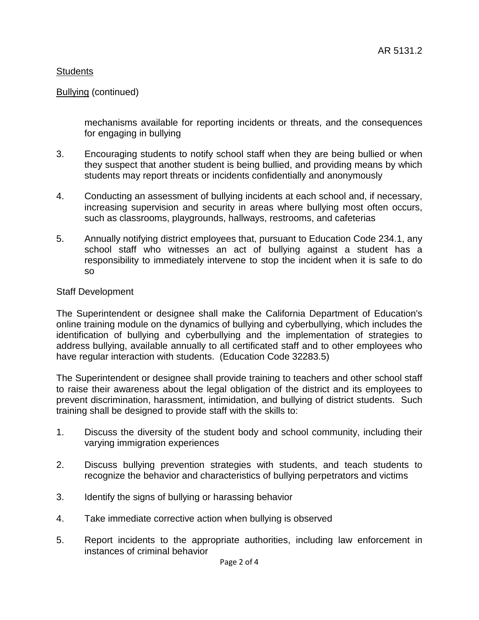### Bullying (continued)

mechanisms available for reporting incidents or threats, and the consequences for engaging in bullying

- 3. Encouraging students to notify school staff when they are being bullied or when they suspect that another student is being bullied, and providing means by which students may report threats or incidents confidentially and anonymously
- 4. Conducting an assessment of bullying incidents at each school and, if necessary, increasing supervision and security in areas where bullying most often occurs, such as classrooms, playgrounds, hallways, restrooms, and cafeterias
- 5. Annually notifying district employees that, pursuant to Education Code 234.1, any school staff who witnesses an act of bullying against a student has a responsibility to immediately intervene to stop the incident when it is safe to do so

#### Staff Development

The Superintendent or designee shall make the California Department of Education's online training module on the dynamics of bullying and cyberbullying, which includes the identification of bullying and cyberbullying and the implementation of strategies to address bullying, available annually to all certificated staff and to other employees who have regular interaction with students. (Education Code 32283.5)

The Superintendent or designee shall provide training to teachers and other school staff to raise their awareness about the legal obligation of the district and its employees to prevent discrimination, harassment, intimidation, and bullying of district students. Such training shall be designed to provide staff with the skills to:

- 1. Discuss the diversity of the student body and school community, including their varying immigration experiences
- 2. Discuss bullying prevention strategies with students, and teach students to recognize the behavior and characteristics of bullying perpetrators and victims
- 3. Identify the signs of bullying or harassing behavior
- 4. Take immediate corrective action when bullying is observed
- 5. Report incidents to the appropriate authorities, including law enforcement in instances of criminal behavior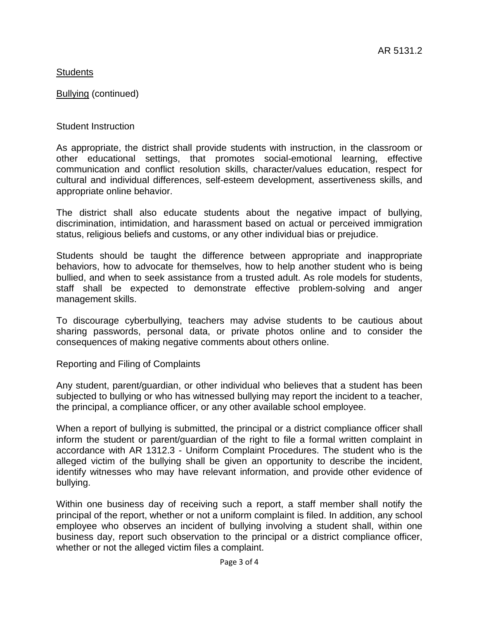Bullying (continued)

Student Instruction

As appropriate, the district shall provide students with instruction, in the classroom or other educational settings, that promotes social-emotional learning, effective communication and conflict resolution skills, character/values education, respect for cultural and individual differences, self-esteem development, assertiveness skills, and appropriate online behavior.

The district shall also educate students about the negative impact of bullying, discrimination, intimidation, and harassment based on actual or perceived immigration status, religious beliefs and customs, or any other individual bias or prejudice.

Students should be taught the difference between appropriate and inappropriate behaviors, how to advocate for themselves, how to help another student who is being bullied, and when to seek assistance from a trusted adult. As role models for students, staff shall be expected to demonstrate effective problem-solving and anger management skills.

To discourage cyberbullying, teachers may advise students to be cautious about sharing passwords, personal data, or private photos online and to consider the consequences of making negative comments about others online.

Reporting and Filing of Complaints

Any student, parent/guardian, or other individual who believes that a student has been subjected to bullying or who has witnessed bullying may report the incident to a teacher, the principal, a compliance officer, or any other available school employee.

When a report of bullying is submitted, the principal or a district compliance officer shall inform the student or parent/guardian of the right to file a formal written complaint in accordance with AR 1312.3 - Uniform Complaint Procedures. The student who is the alleged victim of the bullying shall be given an opportunity to describe the incident, identify witnesses who may have relevant information, and provide other evidence of bullying.

Within one business day of receiving such a report, a staff member shall notify the principal of the report, whether or not a uniform complaint is filed. In addition, any school employee who observes an incident of bullying involving a student shall, within one business day, report such observation to the principal or a district compliance officer, whether or not the alleged victim files a complaint.